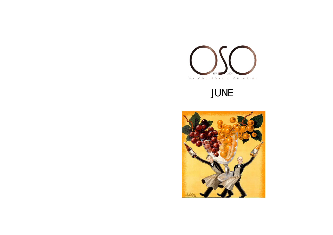

# JUNE

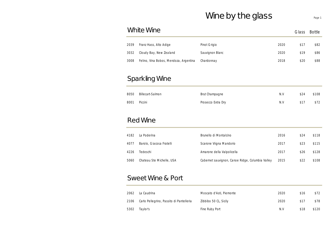# Wine by the glass Page 1

|      | <b>White Wine</b>                      |                                                  |      | Glass | <b>Bottle</b> |
|------|----------------------------------------|--------------------------------------------------|------|-------|---------------|
| 2039 | Franz Hass, Alto Adige                 | Pinot Grigio                                     | 2020 | \$17  | \$82          |
| 3032 | Cloudy Bay, New Zealand                | Sauvignon Blanc                                  | 2020 | \$19  | \$86          |
| 3008 | Felino, Vina Bobos, Mendoza, Argentina | Chardonnay                                       | 2018 | \$20  | \$88          |
|      |                                        |                                                  |      |       |               |
|      | <b>Sparkling Wine</b>                  |                                                  |      |       |               |
| 8050 | <b>Billecart-Salmon</b>                | Brut Champagne                                   | N.V  | \$24  | \$108         |
| 8001 | Piccini                                | Prosecco Extra Dry                               | N.V  | \$17  | \$72          |
|      |                                        |                                                  |      |       |               |
|      | <b>Red Wine</b>                        |                                                  |      |       |               |
| 4182 | La Poderina                            | Brunello di Montalcino                           | 2016 | \$24  | \$118         |
| 4077 | Barolo, Giacosa Fratelli               | Scarone Viigna Mandorio                          | 2017 | \$23  | \$115         |
| 4226 | Tedeschi                               | Amarone della Valpolicella                       | 2017 | \$26  | \$128         |
| 5060 | Chateau Ste Michelle, USA              | Cabernet sauvignon, Canoe Ridge, Columbia Valley | 2015 | \$22  | \$108         |
|      |                                        |                                                  |      |       |               |
|      |                                        |                                                  |      |       |               |

#### Sweet Wine & Port

| 2062 | La Caudrina                                   | Moscato d'Asti, Piemonte | 2020 | \$16 | \$72  |
|------|-----------------------------------------------|--------------------------|------|------|-------|
|      | 2106 Carlo Pellegrino, Passito di Pantelleria | Zibbibo 50 CL, Sicily    | 2020 | \$17 | \$78  |
|      | 5302 Taylor's                                 | Fine Ruby Port           | N.V  | \$18 | \$120 |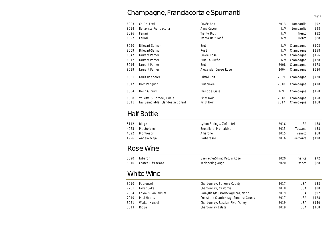# Champagne, Franciacorta e Spumanti

| 8003         | Ca Dei Frati                                                 | Cuvée Brut               | 2013         | Lombardia              | \$92           |
|--------------|--------------------------------------------------------------|--------------------------|--------------|------------------------|----------------|
| 8014         | Bellavista Franciacorta                                      | Alma Cuvée               | N.V          | Lombardia              | \$98           |
| 8026         | Ferrari                                                      | Trento Brut              | N.V          | Trento                 | \$82           |
| 8027         | Ferrari                                                      | Trento Brut Rosé         | N.V          | Trento                 | \$88           |
| 8050         | <b>Billecart-Salmon</b>                                      | <b>Brut</b>              | N.V          | Champagne              | \$108          |
| 8009         | <b>Billecart-Salmon</b>                                      | Rosé                     | N.V          | Champagne              | \$158          |
| 8047         | Laurent Perrier                                              | Cuvée Rosé               | N.V          | Champagne              | \$156          |
| 8012         | Laurent Perrier                                              | Brut, La Cuvée           | N.V          | Champagne              | \$128          |
| 8016         | Laurent Perrier                                              | Brut                     | 2008         | Champagne              | \$178          |
| 8019         | Laurent Perrier                                              | Alexander Cuvée Rosé     | 2004         | Champagne              | \$580          |
| 8051         | Louis Roederer                                               | Cristal Brut             | 2009         | Champagne              | \$720          |
| 8017         | Dom Perignon                                                 | Brut cuvée               | 2010         | Champagne              | \$418          |
| 8004         | Henri Giraud                                                 | Blanc de Craie           | N.V          | Champagne              | \$158          |
| 8008<br>8011 | Vouette & Sorbee, Fidele<br>Les Semblable, Clandestin Boreal | Pinot Noir<br>Pinot Noir | 2018<br>2017 | Champagne<br>Champagne | \$158<br>\$168 |

# Half Bottle

| 5112<br>4023 | Ridge<br>Mastrojanni | Lytton Springs, Zinfandel<br>Brunello di Montalcino | 2016<br>2015 | USA<br>Toscana | \$88<br>\$88 |
|--------------|----------------------|-----------------------------------------------------|--------------|----------------|--------------|
| 4022         | Montresor            | Amarone                                             | 2015         | Veneto         | \$68         |
| 4926         | Angelo Gaja          | Barbaresco                                          | 2016         | Piemonte       | \$198        |

# Rose Wine

| 3020 | Luberon                | Grenache/Shiraz Petula Rosé | 2020 | France | \$72 |
|------|------------------------|-----------------------------|------|--------|------|
|      | 3016 Chateau d'Esclans | Whispering Angel            | 2020 | France | \$88 |

## White Wine

| 3010 | Pedroncelli          | Chardonnay, Sonoma County           | 2017 | USA | \$88  |
|------|----------------------|-------------------------------------|------|-----|-------|
| 7701 | Layer Cake           | Chardonnay, California              | 2018 | USA | \$88  |
| 7004 | Caymus Conundrum     | Sauv/Ries/Muscad/Viog/Char, Napa    | 2019 | USA | \$92  |
| 7010 | Paul Hobbs           | Crossbarn Chardonnay, Sonoma County | 2017 | USA | \$128 |
| 3021 | <b>Walter Hansel</b> | Chardonnay, Russian River Valley    | 2019 | USA | \$140 |
| 3013 | Ridge                | Chardonnay Estate                   | 2019 | USA | \$168 |

Page 2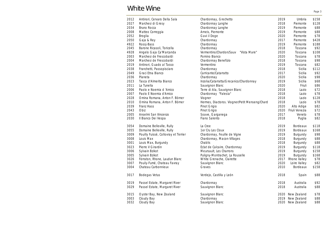#### White Wine

| 2012 | Antinori, Cervaro Della Sala         | Chardonnay, Grechetto                          | 2019 | Umbria          | \$158 |
|------|--------------------------------------|------------------------------------------------|------|-----------------|-------|
| 2027 | Marchesi di Gresy                    | Chardonnay Langhe                              | 2018 | Piemonte        | \$128 |
| 2034 | Bruno Rocca                          | Chardonnay Langhe                              | 2019 | Piemonte        | \$88  |
| 2008 | Matteo Correggia                     | Arneis, Piemonte                               | 2019 | Piemonte        | \$88  |
| 2052 | <b>Broglia</b>                       | Gavi il Doge                                   | 2020 | Piemonte        | \$78  |
| 2050 | Gaja & Rey                           | Chardonnay                                     | 2017 | Piemonte        | \$428 |
| 4922 | Rossj-Bass                           | Chardonnay                                     | 2019 | Piemonte        | \$188 |
| 2045 | Barone Ricasoli, Toricella           | Chardonnay                                     | 2018 | Toscana         | \$92  |
| 4928 | Angelo Gaja Ca'Marcanda              | Vermentino/Chardon/Sauv<br>"Vista Mare"        | 2020 | Toscana         | \$108 |
| 2003 | Marchesi de Frescobaldi              | Pomino Bianco                                  | 2020 | Toscana         | \$78  |
| 2004 | Marchesi de Frescobaldi              | Chardonnay Benefizio                           | 2018 | Toscana         | \$98  |
| 2019 | Antinori, Guado al Tasso             | Vermentino                                     | 2019 | Toscana         | \$82  |
| 2038 | Franchetti, Passopisciaro            | Chardonnay                                     | 2018 | Sicilia         | \$112 |
| 2049 | Graci Etna Bianco                    | Carricante/Catarratto                          | 2017 | Sicilia         | \$92  |
| 2036 | Planeta                              | Chardonnay                                     | 2020 | Sicilia         | \$98  |
| 2023 | Tasca d'Almerita Bianco              | Inzolia/Catarratta/Grecanico/Chardonnay        | 2019 | Sicilia         | \$68  |
| 2011 | La Tunella                           | Sauvignon Blanc                                | 2020 | Friuli          | \$86  |
| 2006 | Paolo e Noemia d'Amico               | Terre di Ala, Sauvignon Blanc                  | 2018 | Lazio           | \$72  |
| 2007 | Paolo E Noemia d'Amico               | Chardonnay "Falesia"                           | 2018 | Lazio           | \$78  |
| 2028 | Omina Romana, Anton F. Börner        | Viogner                                        | 2018 | Lazio           | \$128 |
| 2010 | Omina Romana, Anton F. Börner        | Hermes, Diactoros. Viogner/Petit Menseng/Chard | 2018 | Lazio           | \$78  |
| 2039 | Franz Hass                           | Pinot Grigio                                   | 2020 | Alto Adige      | \$82  |
| 2043 | Obiz                                 | Pinot Grigio                                   | 2020 | Friuli Venezia  | \$72  |
| 2005 | Anselmi San Vincenzo                 | Soave, Garganega                               | 2017 | Veneto          | \$78  |
| 2030 | Il Bianco Dei Vespa                  | Fiano Salento                                  | 2018 | Puglia          | \$82  |
| 3054 | Domaine Belleville, Rully            | La Cree                                        | 2019 | <b>Bordeaux</b> | \$118 |
| 3055 | Domaine Belleville, Rully            | 1er Cru Les Cloux                              | 2019 | <b>Bordeaux</b> | \$168 |
| 3009 | Pouilly Fuissé, Collovray et Terrier | Chardonnay, Feuille de Vigne                   | 2019 | Burgundy        | \$98  |
| 3008 | Louis Max                            | Chardonnay, Macon-Villages                     | 2018 | Burgundy        | \$88  |
| 3001 | Louis Max, Burgundy                  | Chablis                                        | 2018 | Burgundy        | \$88  |
| 3023 | Pierre V Girardin                    | Eclat de Calcaire, Chardonnay                  | 2019 | Burgundy        | \$118 |
| 3006 | Sylvain Bzikot                       | Meursault, Les Charrons                        | 2019 | Burgundy        | \$158 |
| 3005 | Sylvain Bzikot                       | Puligny-Montrachet, La Rouselle                | 2019 | Burgundy        | \$168 |
| 3026 | Ferraton, Rhone, Laudun Blanc        | White Grenache, Clairette                      | 2017 | Rhone Valley    | \$78  |
| 3007 | Pouily-Fumé, Chateau Favray          | Sauvignon Blanc                                | 2020 | Loire Valley    | \$82  |
| 3004 | Chateau Carbonnieux                  | Graves                                         | 2010 | <b>Bordeaux</b> | \$158 |
| 3017 | Bodegas Vetus                        | Verdejo, Castilla y León                       | 2018 | Spain           | \$88  |
| 3019 | Passel Estate, Margaret River        | Chardonnay                                     | 2018 | Australia       | \$92  |
| 3029 | Passel Estate, Margaret River        | Sauvignon Blanc                                | 2018 | Australia       | \$88  |
| 3015 | Oyster Bay, New Zealand              | Sauvignon Blanc                                | 2020 | New Zealand     | \$78  |
| 3003 | Cloudy Bay                           | Chardonnay                                     | 2019 | New Zealand     | \$88  |
| 3032 | Cloudy Bay                           | Sauvignon Blanc                                | 2020 | New Zealand     | \$88  |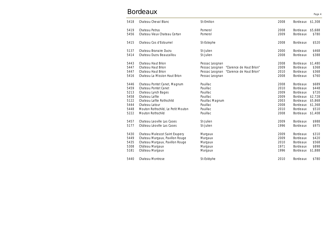# Bordeaux

| 5418 | Chateau Cheval Blanc               | St-Emilion                                 | 2008 | <b>Bordeaux</b> | \$1,308 |
|------|------------------------------------|--------------------------------------------|------|-----------------|---------|
| 5419 | Chateau Petrus                     | Pomerol                                    | 2008 | <b>Bordeaux</b> | \$5,688 |
| 5456 | Chateau Vieux Chateau Certan       | Pomerol                                    | 2009 | <b>Bordeaux</b> | \$780   |
| 5415 | Chateau Cos d'Estournel            | St-Estephe                                 | 2008 | <b>Bordeaux</b> | \$520   |
| 5137 | Chateau Branaire Ducru             | St-Julien                                  | 2000 | <b>Bordeaux</b> | \$468   |
| 5414 | Chateau Ducru Beaucaillou          | St-Julien                                  | 2008 | <b>Bordeaux</b> | \$388   |
| 5443 | Chateau Haut Brion                 | Pessac Leognan                             | 2008 | <b>Bordeaux</b> | \$1,480 |
| 5447 | Chateau Haut Brion                 | "Clarence de Haut Brion"<br>Pessac Leognan | 2009 | <b>Bordeaux</b> | \$368   |
| 5447 | Chateau Haut Brion                 | Pessac Leognan<br>"Clarence de Haut Brion" | 2010 | <b>Bordeaux</b> | \$368   |
| 5416 | Chateau La Mission Haut Brion      | Pessac Leognan                             | 2008 | <b>Bordeaux</b> | \$760   |
| 5446 | Chateau Pontet Canet, Magnum       | Pauillac                                   | 2008 | <b>Bordeaux</b> | \$689   |
| 5459 | Chateau Pontet Canet               | Pauillac                                   | 2010 | <b>Bordeaux</b> | \$448   |
| 5213 | Chateau Lynch Bages                | Pauillac                                   | 2009 | <b>Bordeaux</b> | \$720   |
| 5458 | Chateau Lafite                     | Pauillac                                   | 2009 | <b>Bordeaux</b> | \$2,728 |
| 5122 | Chateau Lafite Rothschild          | Pauillac Magnum                            | 2003 | <b>Bordeaux</b> | \$5,868 |
| 5444 | Chateau Latour                     | Pauillac                                   | 2008 | <b>Bordeaux</b> | \$1,368 |
| 5448 | Mouton Rothschild, Le Petit Mouton | Pauillac                                   | 2010 | Bordeaux        | \$510   |
| 5222 | Mouton Rothschild                  | Pauillac                                   | 2008 | Bordeaux        | \$1,408 |
| 5457 | Chateau Leoville Las Cases         | St-Julien                                  | 2009 | <b>Bordeaux</b> | \$988   |
| 5177 | Château Léoville Las Cases         | St-Julien                                  | 1996 | <b>Bordeaux</b> | \$975   |
| 5430 | Chateau Malescot Saint Exupery     | Margaux                                    | 2009 | <b>Bordeaux</b> | \$310   |
| 5449 | Chateau Margaux, Pavillon Rouge    | Margaux                                    | 2009 | <b>Bordeaux</b> | \$420   |
| 5435 | Chateau Margaux, Pavillon Rouge    | Margaux                                    | 2010 | <b>Bordeaux</b> | \$568   |
| 5308 | Château Margaux                    | Margaux                                    | 1971 | <b>Bordeaux</b> | \$898   |
| 5181 | Château Margaux                    | Margaux                                    | 1996 | <b>Bordeaux</b> | \$1,888 |
| 5440 | Chateau Montrose                   | St-Estèphe                                 | 2010 | <b>Bordeaux</b> | \$780   |
|      |                                    |                                            |      |                 |         |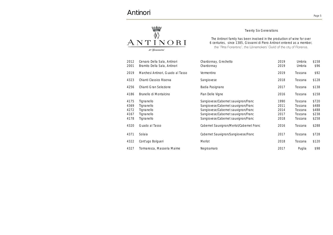# Antinori



Twenty Six Generations

The Antinori family has been involved in the production of wine for over 6 centuries, since 1385, Giovanni di Piero Antinori entered as a member,

| 2012<br>2001 | Cervaro Della Sala, Antinori<br>Bramito Della Sala, Antinori | Chardonnay, Grechetto<br>Chardonnay      | 2019<br>2019 | Umbria<br>Umbria | \$158<br>\$96 |
|--------------|--------------------------------------------------------------|------------------------------------------|--------------|------------------|---------------|
| 2019         | Marchesi Antinori, Guado al Tasso                            | Vermentino                               | 2019         | Toscana          | \$92          |
| 4323         | Chianti Classico Riserva                                     | Sangiovese                               | 2018         | Toscana          | \$128         |
| 4256         | Chianti Gran Selezione                                       | Badia Pasignano                          | 2017         | Toscana          | \$138         |
| 4186         | Brunello di Montalcino                                       | Pian Delle Vigne                         | 2016         | Toscana          | \$158         |
| 4175         | Tignanello                                                   | Sangiovese/Cabernet sauvignon/Franc      | 1990         | Toscana          | \$720         |
| 4369         | Tignanello                                                   | Sangiovese/Cabernet sauvignon/Franc      | 2011         | Toscana          | \$488         |
| 4272         | Tignanello                                                   | Sangiovese/Cabernet sauvignon/Franc      | 2014         | Toscana          | \$488         |
| 4167         | Tignanello                                                   | Sangiovese/Cabernet sauvignon/Franc      | 2017         | Toscana          | \$238         |
| 4178         | Tignanello                                                   | Sangiovese/Cabernet sauvignon/Franc      | 2018         | Toscana          | \$258         |
| 4320         | Guado al Tasso                                               | Cabernet Sauvignon/Merlot/Cabernet Franc | 2016         | Toscana          | \$288         |
| 4371         | Solaia                                                       | Cabernet Sauvignon/Sangiovese/Franc      | 2017         | Toscana          | \$728         |
| 4322         | Cont'ugo Bolgueri                                            | Merlot                                   | 2018         | Toscana          | \$120         |
| 4327         | Tormaresca, Masseria Maime                                   | Negroamaro                               | 2017         | Puglia           | \$98          |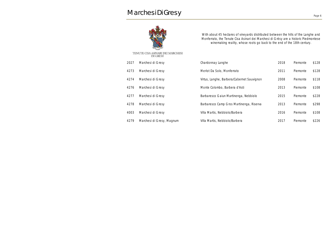

With about 45 hectares of vineyards distributed between the hills of the Langhe and Monferrato, the Tenute Cisa Asinari dei Marchesi di Grésy are a historic Piedmontese winemaking reality, whose roots go back to the end of the 18th century.

|      | TENUTE CISA ASINARI DEI MARCHESI<br>DI GRESY |                                            |      |          |       |
|------|----------------------------------------------|--------------------------------------------|------|----------|-------|
| 2027 | Marchesi di Gresy                            | Chardonnay Langhe                          | 2018 | Piemonte | \$128 |
| 4273 | Marchesi di Gresy                            | Merlot Da Solo, Monferrato                 | 2011 | Piemonte | \$128 |
| 4274 | Marchesi di Gresy                            | Virtus, Langhe, Barbera/Cabernet Sauvignon | 2008 | Piemonte | \$118 |
| 4276 | Marchesi di Gresy                            | Monte Colombo, Barbera d'Asti              | 2013 | Piemonte | \$108 |
| 4277 | Marchesi di Gresy                            | Barbaresco Gaiun Martinenga, Nebbiolo      | 2015 | Piemonte | \$228 |
| 4278 | Marchesi di Gresy                            | Barbaresco Camp Gros Martinenga, Riserva   | 2013 | Piemonte | \$298 |
| 4003 | Marchesi di Gresy                            | Villa Martis, Nebbiolo/Barbera             | 2016 | Piemonte | \$108 |
| 4279 | Marchesi di Gresy, Magnum                    | Villa Martis, Nebbiolo/Barbera             | 2017 | Piemonte | \$226 |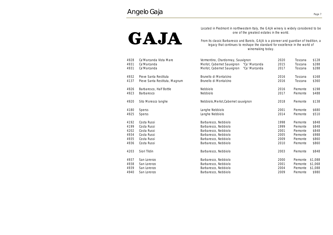# GAJA

Located in Piedmont in northwestern Italy, the GAJA winery is widely considered to be one of the greatest estates in the world.

From its classic Barbaresco and Barolo, GAJA is a pioneer and guardian of tradition, a legacy that continues to reshape the standard for excellence in the world of winemaking today.

| 4928<br>4931<br>4931 | Ca'Marcanda Vista Mare<br>Ca'Marcanda<br>Ca'Marcanda   | Vermentino, Chardonnay, Sauvignon<br>Merlot, Cabernet Sauvignon<br>"Ca' Marcanda<br>Merlot, Cabernet Sauvignon<br>"Ca' Marcanda | 2020<br>2015<br>2017 | Toscana<br>Toscana<br>Toscana | \$128<br>\$288<br>\$288 |
|----------------------|--------------------------------------------------------|---------------------------------------------------------------------------------------------------------------------------------|----------------------|-------------------------------|-------------------------|
| 4932<br>4137         | Pieve Santa Restituta<br>Pieve Santa Restituta, Magnum | Brunello di Montalcino<br>Brunello di Montalcino                                                                                | 2016<br>2016         | Toscana<br>Toscana            | \$168<br>\$360          |
| 4926<br>4923         | Barbaresco, Half Bottle<br>Barbaresco                  | Nebbiolo<br>Nebbiolo                                                                                                            | 2016<br>2017         | Piemonte<br>Piemonte          | \$198<br>\$488          |
| 4920                 | Sito Moresco langhe                                    | Nebbiolo, Merlot, Cabernet sauvignon                                                                                            | 2018                 | Piemonte                      | \$138                   |
| 4180                 | <b>Sperss</b>                                          | Langhe Nebbiolo                                                                                                                 | 2001                 | Piemonte                      | \$680                   |
| 4925                 | <b>Sperss</b>                                          | Langhe Nebbiolo                                                                                                                 | 2014                 | Piemonte                      | \$510                   |
| 4192                 | Costa Russi                                            | Barbaresco, Nebbiolo                                                                                                            | 1998                 | Piemonte                      | \$848                   |
| 4199                 | Costa Russi                                            | Barbaresco, Nebbiolo                                                                                                            | 1999                 | Piemonte                      | \$848                   |
| 4202                 | Costa Russi                                            | Barbaresco, Nebbiolo                                                                                                            | 2001                 | Piemonte                      | \$848                   |
| 4934                 | Costa Russi                                            | Barbaresco, Nebbiolo                                                                                                            | 2005                 | Piemonte                      | \$988                   |
| 4935                 | Costa Russi                                            | Barbaresco, Nebbiolo                                                                                                            | 2009                 | Piemonte                      | \$860                   |
| 4936                 | Costa Russi                                            | Barbaresco, Nebbiolo                                                                                                            | 2010                 | Piemonte                      | \$860                   |
| 4203                 | Siori Tildin                                           | Barbaresco, Nebbiolo                                                                                                            | 2003                 | Piemonte                      | \$848                   |
| 4937                 | San Lorenzo                                            | Barbaresco, Nebbiolo                                                                                                            | 2000                 | Piemonte                      | \$1,088                 |
| 4938                 | San Lorenzo                                            | Barbaresco, Nebbiolo                                                                                                            | 2001                 | Piemonte                      | \$1,068                 |
| 4939                 | San Lorenzo                                            | Barbaresco, Nebbiolo                                                                                                            | 2004                 | Piemonte                      | \$1,088                 |
| 4940                 | San Lorenzo                                            | Barbaresco, Nebbiolo                                                                                                            | 2009                 | Piemonte                      | \$980                   |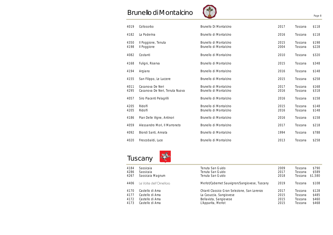# Brunello di Montalcino



|--|

| 4019         | Collosorbo                                         | Brunello Di Montalcino                           | 2017         | Toscana            | \$118          |
|--------------|----------------------------------------------------|--------------------------------------------------|--------------|--------------------|----------------|
| 4182         | La Poderina                                        | Brunello di Montalcino                           | 2016         | Toscana            | \$118          |
| 4350<br>4198 | Il Poggione, Tenuta<br>Il Poggione                 | Brunello di Montalcino<br>Brunello di Montalcino | 2015<br>2004 | Toscana<br>Toscana | \$198<br>\$228 |
| 4082         | Costanti                                           | Brunello di Montalcino                           | 2010         | Toscana            | \$320          |
| 4168         | Fuligni, Riserva                                   | Brunello di Montalcino                           | 2015         | Toscana            | \$348          |
| 4194         | Argiano                                            | Brunello di Montalcino                           | 2016         | Toscana            | \$148          |
| 4155         | San Filippo, Le Luccere                            | Brunello di Montalcino                           | 2015         | Toscana            | \$258          |
| 4011<br>4295 | Casanova De Neri<br>Casanova De Neri, Tenuta Nuova | Brunello di Montalcino<br>Brunello di Montalcino | 2017<br>2016 | Toscana<br>Toscana | \$168<br>\$318 |
| 4057         | Siro Piacenti Pelagrilli                           | Brunello di Montalcino                           | 2016         | Toscana            | \$158          |
| 4205<br>4205 | Ridolfi<br>Ridolfi                                 | Brunello di Montalcino<br>Brunello di Montalcino | 2015<br>2016 | Toscana<br>Toscana | \$148<br>\$148 |
| 4186         | Pian Delle Vigne, Antinori                         | Brunello di Montalcino                           | 2016         | Toscana            | \$158          |
| 4059         | Alessandro Mori, Il Marroneto                      | Brunello di Montalcino                           | 2017         | Toscana            | \$218          |
| 4092         | Biondi Santi, Annata                               | Brunello di Montalcino                           | 1994         | Toscana            | \$788          |
| 4020         | Frescobaldi, Luce                                  | Brunello di Montalcino                           | 2013         | Toscana            | \$258          |





| 4184 | Sassicaia               | Tenuta San Guido                              | 2009 | Toscana | \$790   |
|------|-------------------------|-----------------------------------------------|------|---------|---------|
| 4286 | Sassicaia               | Tenuta San Guido                              | 2017 | Toscana | \$589   |
| 4267 | Sassicaia Magnum        | Tenuta San Guido                              | 2018 | Toscana | \$1,580 |
| 4406 | Le Volte dell'Ornellaia | Merlot/Cabernet Sauvignon/Sangiovese, Tuscany | 2019 | Toscana | \$108   |
| 4170 | Castello di Ama         | Chianti Classico Gran Selezione, San Lorenzo  | 2017 | Toscana | \$128   |
| 4177 | Castello di Ama         | La Casuccia, Sangiovese                       | 2015 | Toscana | \$485   |
| 4172 | Castello di Ama         | Bellavista, Sangiovese                        | 2015 | Toscana | \$460   |
| 4173 | Castello di Ama         | L'Apparita, Merlot                            | 2015 | Toscana | \$468   |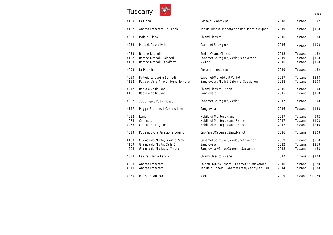# Tuscany



| 4130 | La Gerla                              | Rosso di Montalcino                              | 2018 | Toscana | \$92    |
|------|---------------------------------------|--------------------------------------------------|------|---------|---------|
| 4157 | Andrea Franchetti, Le Cupole          | Tenuta Trinoro. Merlot/Cabernet Franc/Sauvignon  | 2019 | Toscana | \$118   |
| 4028 | Isole e Olena                         | Chianti Classico                                 | 2016 | Toscana | \$88    |
| 4258 | Mazzei, Rosso Philip                  | Cabernet Sauvignon                               | 2016 | Toscana | \$108   |
| 4053 | Barone Ricasoli                       | Brolio, Chianti Classico                         | 2018 | Toscana | \$82    |
| 4152 | Barone Ricasoli, Bolgheri             | Cabernet Sauvignon/Merlot/Petit Verdot           | 2019 | Toscana | \$118   |
| 4153 | Barone Ricasoli, Casalferro           | Merlot                                           | 2016 | Toscana | \$168   |
| 4093 | La Poderina                           | Rosso di Montalcino                              | 2019 | Toscana | \$82    |
| 4050 | Fattoria Le pupille Saffredi          | Cabernet/Merlot/Petit Verdot                     | 2017 | Toscana | \$238   |
| 4112 | Petrolo, Val d'Arno di Sopra Torrione | Sangiovese, Merlot, Cabernet Sauvignon           | 2018 | Toscana | \$108   |
| 4217 | Badia a Coltibuono                    | Chianti Classico Riserva                         | 2016 | Toscana | \$98    |
| 4181 | Badia a Coltibuono                    | Sangioveto                                       | 2015 | Toscana | \$118   |
| 4027 | Bucia Nera, Pa'Ro Rosso               | Cabernet Sauvignon/Merlot                        | 2017 | Toscana | \$98    |
| 4147 | Poggio Scalette, il Carbonaione       | Sangiovese                                       | 2016 | Toscana | \$138   |
| 4012 | Icario                                | Nobile di Montepulciano                          | 2017 | Toscana | \$92    |
| 4074 | Carpineto                             | Nobile di Montepulciano Riserva                  | 2017 | Toscana | \$108   |
| 4268 | Carpineto, Magnum                     | Nobile di Montepulciano Riserva                  | 2012 | Toscana | \$246   |
| 4013 | Podernuovo a Palazzone, Argirio       | Cab Franc/Cabernet Sauv/Merlot                   | 2016 | Toscana | \$108   |
| 4103 | Giampaolo Motta, Giorgio Primo        | Cabernet Sauvignon/Merlot/Petit Verdot           | 2009 | Toscana | \$268   |
| 4109 | Giampaolo Motta, Carla 6              | Sangiovese                                       | 2012 | Toscana | \$268   |
| 4204 | Giampaolo Motta, La Massa             | Sangiovese/Merlot/Cabernet Sauvgnon              | 2018 | Toscana | \$88    |
| 4339 | Felsina riserva Rancia                | Chianti Classico Riserva                         | 2017 | Toscana | \$128   |
| 4309 | Andrea Franchetti                     | Palazzi, Tenuta Trinoro. Cabernet S/Petit Verdot | 2010 | Toscana | \$320   |
| 4310 | Andrea Franchetti                     | Tenuta di Trinoro, Cabernet Franc/Merlot/Cab Sau | 2014 | Toscana | \$338   |
| 4030 | Masseto, Antinori                     | Merlot                                           | 2009 | Toscana | \$1,920 |

Page 9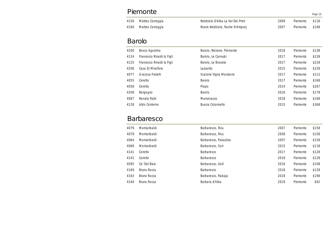| Piemonte |                       |                                  |      |          | Page 10 |
|----------|-----------------------|----------------------------------|------|----------|---------|
|          | 4158 Matteo Correggia | Nebbiolo D'Alba La Val Dei Preti | 2009 | Piemonte | \$118   |
| 4160     | Matteo Correggia      | Roero Nebbiolo, Roche D'Ampsej   | 2007 | Piemonte | \$168   |

## Barolo

| 4200 | Bosco Agostino            | Barolo, Neirane, Piemonte | 2016 | Piemonte | \$138 |
|------|---------------------------|---------------------------|------|----------|-------|
| 4124 | Francesco Rinaldi & Figli | Barolo, Le Cannubi        | 2017 | Piemonte | \$238 |
| 4125 | Francesco Rinaldi & Figli | Barolo, Le Brunate        | 2017 | Piemonte | \$228 |
| 4206 | Casa Di Mirafiore         | Lazzarito                 | 2015 | Piemonte | \$228 |
| 4077 | Giacosa Fratelli          | Scarone Vigna Mandorio    | 2017 | Piemonte | \$112 |
| 4055 | Ceretto                   | Barolo                    | 2017 | Piemonte | \$168 |
| 4058 | Ceretto                   | Prapo                     | 2014 | Piemonte | \$267 |
| 4209 | Borgogno                  | Barolo                    | 2016 | Piemonte | \$178 |
| 4067 | Renato Ratti              | Marcenasco                | 2018 | Piemonte | \$168 |
| 4128 | Aldo Conterno             | Bussia Colonnello         | 2015 | Piemonte | \$368 |

# Barbaresco

| 4079 | Montaribaldi | Barbaresco, Ricu      | 2007 | Piemonte | \$158 |
|------|--------------|-----------------------|------|----------|-------|
| 4079 | Montaribaldi | Barbaresco, Ricu      | 2008 | Piemonte | \$158 |
| 4064 | Montaribaldi | Barbaresco, Palazzina | 2007 | Piemonte | \$158 |
| 4069 | Montaribaldi | Barbaresco, Sori      | 2015 | Piemonte | \$118 |
| 4141 | Ceretto      | Barbaresco            | 2017 | Piemonte | \$128 |
| 4141 | Ceretto      | Barbaresco            | 2018 | Piemonte | \$128 |
| 4095 | Ca' Del Baio | Barbaresco, Asili     | 2018 | Piemonte | \$108 |
| 4169 | Bruno Rocca  | Barbaresco            | 2018 | Piemonte | \$128 |
| 4163 | Bruno Rocca  | Barbaresco, Rabaja    | 2018 | Piemonte | \$198 |
| 4164 | Bruno Rocca  | Barbera d'Alba        | 2019 | Piemonte | \$92  |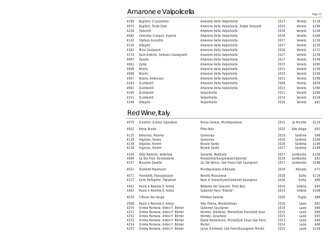# Amarone e Valpolicella

| 4296 | Buglioni, Il Lussurioso           | Amarone della Valpolicella                  | 2017 | Veneto | \$128 |
|------|-----------------------------------|---------------------------------------------|------|--------|-------|
| 4075 | Buglioni, Teste Dure              | Amarone della Valpolicella, Single Vineyard | 2010 | Veneto | \$298 |
| 4226 | Tedeschi                          | Amarone della Valpolicella                  | 2018 | Veneto | \$128 |
| 4085 | Celestino Gaspari, Kyrenia        | Amarone della Valpolicella                  | 2016 | Veneto | \$168 |
| 4145 | Stefano Accordini                 | Amarone della Valpolicella                  | 2017 | Veneto | \$118 |
| 4126 | Allegrini                         | Amarone della Valpolicella                  | 2017 | Veneto | \$228 |
| 4181 | Masi Costasera                    | Amarone della Valpolicella                  | 2016 | Veneto | \$132 |
| 4114 | Sant Antonio, Selezion Castagnedi | Amarone della Valpolicella                  | 2017 | Veneto | \$138 |
| 4097 | Zenato                            | Amarone della Valpolicella                  | 2017 | Veneto | \$148 |
| 4061 | Zymè                              | Amarone della Valpolicella                  | 2015 | Veneto | \$280 |
| 4908 | <b>Nicolis</b>                    | Amarone della Valpolicella                  | 2013 | Veneto | \$158 |
| 4908 | <b>Nicolis</b>                    | Amarone della Valpolicella                  | 2015 | Veneto | \$158 |
| 4407 | Nicolis, Ambrosan                 | Amarone della Valpolicella                  | 2011 | Veneto | \$198 |
| 4183 | Quintarelli                       | Amarone della Valpolicella                  | 2009 | Veneto | \$828 |
| 4901 | Quintarelli                       | Amarone della Valpolicella                  | 2013 | Veneto | \$780 |
| 4180 | Quintarelli                       | Valpollicella                               | 2011 | Veneto | \$288 |
| 4151 | Quintarelli                       | Valpollicella                               | 2014 | Veneto | \$218 |
| 4148 | Allegrini                         | Valpollicella                               | 2020 | Veneto | \$92  |

Page 11

# Red Wine, Italy

| 4076                                         | Garofoli, Grosso Agontano                                                                                                                                                                   | Rosso Conero, Montepulciano                                                                                                                                                      | 2015                                         | Le Marche                                          | \$118                                        |
|----------------------------------------------|---------------------------------------------------------------------------------------------------------------------------------------------------------------------------------------------|----------------------------------------------------------------------------------------------------------------------------------------------------------------------------------|----------------------------------------------|----------------------------------------------------|----------------------------------------------|
| 4002                                         | Elena Walch                                                                                                                                                                                 | Pinot Noir                                                                                                                                                                       | 2020                                         | Alto Adige                                         | \$92                                         |
| 4135<br>4139<br>4138<br>4138                 | Dimonios, Riserva<br>Argiolas, Senes<br>Argiolas, Korem<br>Argiolas, Korem                                                                                                                  | Cannonau<br>Cannonau<br><b>Bovale Sardo</b><br>Bovale Sardo                                                                                                                      | 2019<br>2016<br>2016<br>2017                 | Sardinia<br>Sardinia<br>Sardinia<br>Sardinia       | \$98<br>\$108<br>\$149<br>\$149              |
| 4100<br>4084<br>4107                         | Aldo Rainoldi, Valtellina<br>Ca Dei Frati, Ronchedone<br>Maurizio Zanella                                                                                                                   | Sassella, Nebbiolo<br>Marzemino/Sangiovese/Cabernet<br>Ca' Del Bosco, Cab Franc/ Cab Sauvignon                                                                                   | 2017<br>2019<br>2017                         | Lombardia<br>Lombardia<br>Lombardia                | \$108<br>\$92<br>\$188                       |
| 4021                                         | Illuminati Riparosso                                                                                                                                                                        | Montepulciano d'Abruzzo                                                                                                                                                          | 2019                                         | Abruzzo                                            | \$72                                         |
| 4072<br>4127                                 | Franchetti, Passopisciaro<br>Carlo Pellegrino, Tripudium                                                                                                                                    | Nerello Mascalese<br>Nero d' Avola/Syrah/Cabernet Sauvignon                                                                                                                      | 2018<br>2016                                 | Sicilia<br>Sicilia                                 | \$118<br>\$86                                |
| 4402<br>4403                                 | Paolo e Noemia D'Amico<br>Paolo e Noemia D'Amico                                                                                                                                            | Notturno dei Calanchi. Pinot Noir<br>Cabernet franc "Atlante"                                                                                                                    | 2016<br>2013                                 | Umbria<br>Umbria                                   | \$90<br>\$108                                |
| 4030                                         | Il Bruno Dei Vespa                                                                                                                                                                          | Primitivo Salento                                                                                                                                                                | 2020                                         | Puglia                                             | \$88                                         |
| 2006<br>4250<br>4251<br>4252<br>4253<br>4254 | Paolo e Noemia d'Amico<br>Omina Romana, Anton F. Börner<br>Omina Romana, Anton F. Börner<br>Omina Romana, Anton F. Börner<br>Omina Romana, Anton F. Börner<br>Omina Romana, Anton F. Börner | Villa Tirrena, Merlot/Shiraz<br>Cabernet Sauvignon<br>Hermes, Diactoros. Merlot/Cab Franc/Cab Sauv<br>Hermes, Cesanese<br>Diana Nemorensis, Merlot/Cab Sauv/ Cab Franc<br>Merlot | 2016<br>2014<br>2015<br>2015<br>2013<br>2014 | Lazio<br>Lazio<br>Lazio<br>Lazio<br>Lazio<br>Lazio | \$82<br>\$88<br>\$88<br>\$93<br>\$89<br>\$88 |
| 4257                                         | Omina Romana, Anton F. Börner                                                                                                                                                               | Janus Geminust, Cab Franc/Sauvignon/ Merlot                                                                                                                                      | 2015                                         | Lazio                                              | \$128                                        |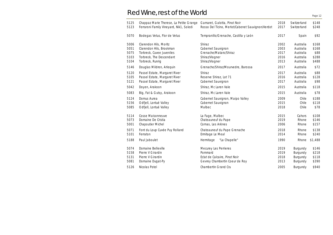# Red Wine, rest of the World

| 5125 | Chappaz Marie Therese, La Petite Grange | Gamaret, Galotta, Pinot Noir                      | 2018 | Switzerland | \$148   |
|------|-----------------------------------------|---------------------------------------------------|------|-------------|---------|
| 5123 | Ferraroni Family Vineyard, Nik1, Soledi | Rosso Del Ticino, Merlot/Cabenet Sauvignon/Verdot | 2017 | Switzerland | \$248   |
| 5070 | Bodegas Vetus, Flor de Vetus            | Tempranillo/Grenache, Castilla y León             | 2017 | Spain       | \$92    |
| 5006 | Clarendon Hils, Moritz                  | Shiraz                                            | 2002 | Australia   | \$168   |
| 5051 | Clarendon Hils, Brookman                | Cabernet Sauvignon                                | 2003 | Australia   | \$168   |
| 5075 | Torbreck, Cuvee Juveniles               | Grenache/Mataro/Shiraz                            | 2017 | Australia   | \$88    |
| 5103 | Torbreck, The Descendant                | Shiraz/Viogner                                    | 2016 | Australia   | \$288   |
| 5104 | Torbreck, Runrig                        | Shiraz/Viogner                                    | 2013 | Australia   | \$488   |
| 5146 | Douglas Mildren, Arlequin               | Grenache/Shiraz/Mourvedre, Barossa                | 2017 | Australia   | \$72    |
| 5120 | Passel Estate, Margaret River           | Shiraz                                            | 2017 | Australia   | \$88    |
| 5105 | Passel Estate, Margaret River           | Reserve Shiraz, Lot 71                            | 2016 | Australia   | \$128   |
| 5121 | Passel Estate, Margaret River           | Cabernet Sauvignon                                | 2017 | Australia   | \$98    |
| 5042 | Doyen, Arakoon                          | Shiraz, Mc Laren Vale                             | 2015 | Australia   | \$118   |
| 5083 | Big, Fat & Gutsy, Arakoon               | Shiraz, Mc Laren Vale                             | 2015 | Australia   | \$78    |
| 5124 | Domus Aurea                             | Cabernet Sauvignon, Maipo Valley                  | 2009 | Chile       | \$188   |
| 5156 | Odfjell, Lontué Valley                  | Cabernet Sauvignon                                | 2015 | Chile       | \$118   |
| 5085 | Odfjell, Lontué Valley                  | Malbec                                            | 2018 | Chile       | \$78    |
| 5114 | Cosse Maisonneuve                       | La Fage, Malbec                                   | 2015 | Cahors      | \$108   |
| 5073 | Domaine De Cristia                      | Chateauneuf du Pape                               | 2019 | Rhone       | \$146   |
| 5001 | <b>Chapoutier Michel</b>                | Cornas, Les Arènes                                | 2006 | Rhone       | \$157   |
| 5071 | Font du Loup Cuvée Puy Rolland          | Chateauneuf du Pape Grenache                      | 2018 | Rhone       | \$138   |
| 5101 | Ferraton                                | Ermitage Le Meal                                  | 2014 | Rhone       | \$240   |
| 5188 | Paul Jaboulet                           | Hermitage<br>"La Chapelle"                        | 1990 | Rhone       | \$1,488 |
| 5074 | Domaine Belleville                      | Mecurey Les Perrieres                             | 2019 | Burgundy    | \$146   |
| 5158 | Pierre V Girardin                       | Pommard                                           | 2019 | Burgundy    | \$218   |
| 5131 | Pierre V Girardin                       | Eclat de Calcaire, Pinot Noir                     | 2018 | Burgundy    | \$118   |
| 5081 | Domaine Dugat-Py                        | Gevrey Chambertin Coeur de Roy                    | 2013 | Burgundy    | \$390   |
| 5126 | Nicolas Potel                           | Chambertin Grand Cru                              | 2005 | Burgundy    | \$940   |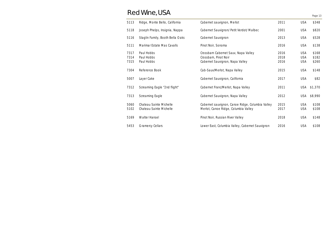# Red Wine, USA

|                      | , , <del>, , , , , , , , , , , , , , , , ,</del>   |                                                                                                  |                      |                                        | Page 13                 |
|----------------------|----------------------------------------------------|--------------------------------------------------------------------------------------------------|----------------------|----------------------------------------|-------------------------|
| 5113                 | Ridge, Monte Bello, California                     | Cabernet sauvignon, Merlot                                                                       | 2011                 | <b>USA</b>                             | \$348                   |
| 5118                 | Joseph Phelps, Insignia, Nappa                     | Cabernet Sauvignon/ Petit Verdot/ Malbec                                                         | 2001                 | <b>USA</b>                             | \$820                   |
| 5116                 | Staglin Family, Booth Bella Oaks                   | Cabernet Sauvignon                                                                               | 2013                 | <b>USA</b>                             | \$528                   |
| 5111                 | Marimar Estate Mas Cavalls                         | Pinot Noir, Sonoma                                                                               | 2016                 | <b>USA</b>                             | \$138                   |
| 7317<br>7314<br>7315 | Paul Hobbs<br>Paul Hobbs<br>Paul Hobbs             | Crossbarn Cabernet Sauv, Napa Valley<br>Crossbarn, Pinot Noir<br>Cabernet Sauvignon, Napa Valley | 2016<br>2018<br>2016 | <b>USA</b><br><b>USA</b><br><b>USA</b> | \$168<br>\$182<br>\$260 |
| 7304                 | Reference Book                                     | Cab-Sauv/Merlot, Napa Valley                                                                     | 2015                 | <b>USA</b>                             | \$148                   |
| 5007                 | Layer Cake                                         | Cabernet Sauvignon, California                                                                   | 2017                 | <b>USA</b>                             | \$82                    |
| 7312                 | Screaming Eagle "2nd flight"                       | Cabernet Franc/Merlot, Napa Valley                                                               | 2011                 | <b>USA</b>                             | \$1,370                 |
| 7313                 | Screaming Eagle                                    | Cabernet Sauvignon, Napa Valley                                                                  | 2012                 | <b>USA</b>                             | \$8,990                 |
| 5060<br>5102         | Chateau Sainte Michelle<br>Chateau Sainte Michelle | Cabernet sauvignon, Canoe Ridge, Columbia Valley<br>Merlot, Canoe Ridge, Columbia Valley         | 2015<br>2017         | <b>USA</b><br><b>USA</b>               | \$108<br>\$108          |
| 5169                 | <b>Walter Hansel</b>                               | Pinot Noir, Russian River Valley                                                                 | 2018                 | <b>USA</b>                             | \$148                   |
| 5453                 | <b>Gramercy Cellars</b>                            | Lower East, Columbia Valley, Cabernet Sauvignon                                                  | 2016                 | <b>USA</b>                             | \$108                   |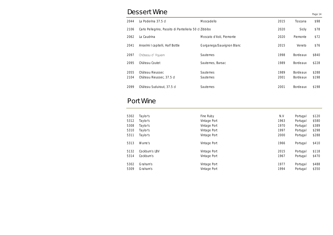# Dessert Wine

Page 14

| 2044         | La Poderina 37.5 cl                                    | Moscadello                           | 2015         | Toscana                            | \$98           |
|--------------|--------------------------------------------------------|--------------------------------------|--------------|------------------------------------|----------------|
| 2106         | Carlo Pellegrino, Passito di Pantelleria 50 cl Zibbibo |                                      | 2020         | Sicily                             | \$78           |
| 2062         | La Caudrina                                            | Moscato d'Asti, Piemonte             | 2020         | Piemonte                           | \$72           |
| 2041         | Anselmi I capitelli, Half Bottle                       | Garganega/Sauvignon Blanc            | 2015         | Veneto                             | \$76           |
| 2097         | Château d'Yquem                                        | <b>Sauternes</b>                     | 1998         | <b>Bordeaux</b>                    | \$840          |
| 2095         | Château Coutet                                         | Sauternes, Barsac                    | 1989         | <b>Bordeaux</b>                    | \$228          |
| 2055<br>2104 | Château Rieussec<br>Château Rieussec, 37.5 cl          | <b>Sauternes</b><br><b>Sauternes</b> | 1989<br>2001 | <b>Bordeaux</b><br><b>Bordeaux</b> | \$288<br>\$198 |
| 2099         | Château Suduiraut, 37.5 cl                             | <b>Sauternes</b>                     | 2001         | <b>Bordeaux</b>                    | \$198          |

# Port Wine

| 5302 | Taylor's       | Fine Ruby    | N.V  | Portugal | \$120 |
|------|----------------|--------------|------|----------|-------|
| 5312 | Taylor's       | Vintage Port | 1963 | Portugal | \$580 |
| 5308 | Taylor's       | Vintage Port | 1970 | Portugal | \$389 |
| 5310 | Taylor's       | Vintage Port | 1997 | Portugal | \$298 |
| 5311 | Taylor's       | Vintage Port | 2000 | Portugal | \$288 |
| 5313 | Warre's        | Vintage Port | 1966 | Portugal | \$410 |
| 5132 | Cockburn's LBV | Vintage Port | 2015 | Portugal | \$118 |
| 5314 | Cockburn's     | Vintage Port | 1967 | Portugal | \$470 |
| 5302 | Graham's       | Vintage Port | 1977 | Portugal | \$488 |
| 5309 | Graham's       | Vintage Port | 1994 | Portugal | \$350 |
|      |                |              |      |          |       |